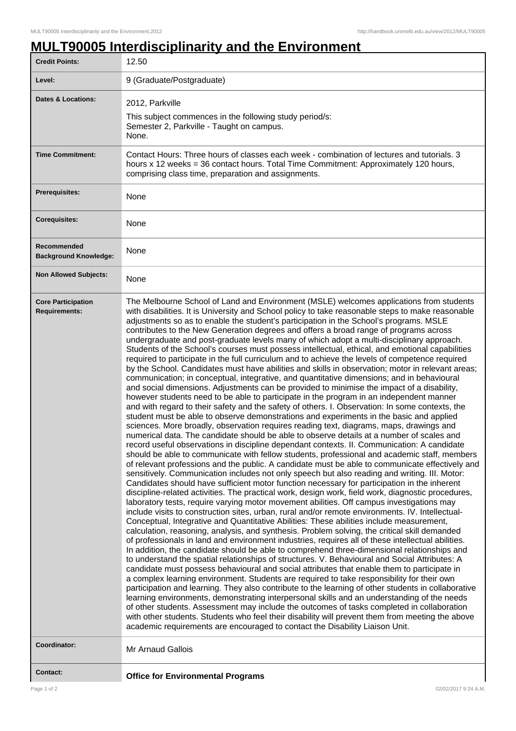ı

## **MULT90005 Interdisciplinarity and the Environment**

| <b>Credit Points:</b>                             | 12.50                                                                                                                                                                                                                                                                                                                                                                                                                                                                                                                                                                                                                                                                                                                                                                                                                                                                                                                                                                                                                                                                                                                                                                                                                                                                                                                                                                                                                                                                                                                                                                                                                                                                                                                                                                                                                                                                                                                                                                                                                                                                                                                                                                                                                                                                                                                                                                                                                                                                                                                                                                                                                                                                                                                                                                                                                                                                                                                                                                                                                                                                                                                                                                                                                                                                                                                                                                                                                                                                   |
|---------------------------------------------------|-------------------------------------------------------------------------------------------------------------------------------------------------------------------------------------------------------------------------------------------------------------------------------------------------------------------------------------------------------------------------------------------------------------------------------------------------------------------------------------------------------------------------------------------------------------------------------------------------------------------------------------------------------------------------------------------------------------------------------------------------------------------------------------------------------------------------------------------------------------------------------------------------------------------------------------------------------------------------------------------------------------------------------------------------------------------------------------------------------------------------------------------------------------------------------------------------------------------------------------------------------------------------------------------------------------------------------------------------------------------------------------------------------------------------------------------------------------------------------------------------------------------------------------------------------------------------------------------------------------------------------------------------------------------------------------------------------------------------------------------------------------------------------------------------------------------------------------------------------------------------------------------------------------------------------------------------------------------------------------------------------------------------------------------------------------------------------------------------------------------------------------------------------------------------------------------------------------------------------------------------------------------------------------------------------------------------------------------------------------------------------------------------------------------------------------------------------------------------------------------------------------------------------------------------------------------------------------------------------------------------------------------------------------------------------------------------------------------------------------------------------------------------------------------------------------------------------------------------------------------------------------------------------------------------------------------------------------------------------------------------------------------------------------------------------------------------------------------------------------------------------------------------------------------------------------------------------------------------------------------------------------------------------------------------------------------------------------------------------------------------------------------------------------------------------------------------------------------------|
| Level:                                            | 9 (Graduate/Postgraduate)                                                                                                                                                                                                                                                                                                                                                                                                                                                                                                                                                                                                                                                                                                                                                                                                                                                                                                                                                                                                                                                                                                                                                                                                                                                                                                                                                                                                                                                                                                                                                                                                                                                                                                                                                                                                                                                                                                                                                                                                                                                                                                                                                                                                                                                                                                                                                                                                                                                                                                                                                                                                                                                                                                                                                                                                                                                                                                                                                                                                                                                                                                                                                                                                                                                                                                                                                                                                                                               |
| <b>Dates &amp; Locations:</b>                     | 2012, Parkville<br>This subject commences in the following study period/s:<br>Semester 2, Parkville - Taught on campus.<br>None.                                                                                                                                                                                                                                                                                                                                                                                                                                                                                                                                                                                                                                                                                                                                                                                                                                                                                                                                                                                                                                                                                                                                                                                                                                                                                                                                                                                                                                                                                                                                                                                                                                                                                                                                                                                                                                                                                                                                                                                                                                                                                                                                                                                                                                                                                                                                                                                                                                                                                                                                                                                                                                                                                                                                                                                                                                                                                                                                                                                                                                                                                                                                                                                                                                                                                                                                        |
| <b>Time Commitment:</b>                           | Contact Hours: Three hours of classes each week - combination of lectures and tutorials. 3<br>hours x 12 weeks = 36 contact hours. Total Time Commitment: Approximately 120 hours,<br>comprising class time, preparation and assignments.                                                                                                                                                                                                                                                                                                                                                                                                                                                                                                                                                                                                                                                                                                                                                                                                                                                                                                                                                                                                                                                                                                                                                                                                                                                                                                                                                                                                                                                                                                                                                                                                                                                                                                                                                                                                                                                                                                                                                                                                                                                                                                                                                                                                                                                                                                                                                                                                                                                                                                                                                                                                                                                                                                                                                                                                                                                                                                                                                                                                                                                                                                                                                                                                                               |
| <b>Prerequisites:</b>                             | None                                                                                                                                                                                                                                                                                                                                                                                                                                                                                                                                                                                                                                                                                                                                                                                                                                                                                                                                                                                                                                                                                                                                                                                                                                                                                                                                                                                                                                                                                                                                                                                                                                                                                                                                                                                                                                                                                                                                                                                                                                                                                                                                                                                                                                                                                                                                                                                                                                                                                                                                                                                                                                                                                                                                                                                                                                                                                                                                                                                                                                                                                                                                                                                                                                                                                                                                                                                                                                                                    |
| <b>Corequisites:</b>                              | None                                                                                                                                                                                                                                                                                                                                                                                                                                                                                                                                                                                                                                                                                                                                                                                                                                                                                                                                                                                                                                                                                                                                                                                                                                                                                                                                                                                                                                                                                                                                                                                                                                                                                                                                                                                                                                                                                                                                                                                                                                                                                                                                                                                                                                                                                                                                                                                                                                                                                                                                                                                                                                                                                                                                                                                                                                                                                                                                                                                                                                                                                                                                                                                                                                                                                                                                                                                                                                                                    |
| Recommended<br><b>Background Knowledge:</b>       | None                                                                                                                                                                                                                                                                                                                                                                                                                                                                                                                                                                                                                                                                                                                                                                                                                                                                                                                                                                                                                                                                                                                                                                                                                                                                                                                                                                                                                                                                                                                                                                                                                                                                                                                                                                                                                                                                                                                                                                                                                                                                                                                                                                                                                                                                                                                                                                                                                                                                                                                                                                                                                                                                                                                                                                                                                                                                                                                                                                                                                                                                                                                                                                                                                                                                                                                                                                                                                                                                    |
| <b>Non Allowed Subjects:</b>                      | None                                                                                                                                                                                                                                                                                                                                                                                                                                                                                                                                                                                                                                                                                                                                                                                                                                                                                                                                                                                                                                                                                                                                                                                                                                                                                                                                                                                                                                                                                                                                                                                                                                                                                                                                                                                                                                                                                                                                                                                                                                                                                                                                                                                                                                                                                                                                                                                                                                                                                                                                                                                                                                                                                                                                                                                                                                                                                                                                                                                                                                                                                                                                                                                                                                                                                                                                                                                                                                                                    |
| <b>Core Participation</b><br><b>Requirements:</b> | The Melbourne School of Land and Environment (MSLE) welcomes applications from students<br>with disabilities. It is University and School policy to take reasonable steps to make reasonable<br>adjustments so as to enable the student's participation in the School's programs. MSLE<br>contributes to the New Generation degrees and offers a broad range of programs across<br>undergraduate and post-graduate levels many of which adopt a multi-disciplinary approach.<br>Students of the School's courses must possess intellectual, ethical, and emotional capabilities<br>required to participate in the full curriculum and to achieve the levels of competence required<br>by the School. Candidates must have abilities and skills in observation; motor in relevant areas;<br>communication; in conceptual, integrative, and quantitative dimensions; and in behavioural<br>and social dimensions. Adjustments can be provided to minimise the impact of a disability,<br>however students need to be able to participate in the program in an independent manner<br>and with regard to their safety and the safety of others. I. Observation: In some contexts, the<br>student must be able to observe demonstrations and experiments in the basic and applied<br>sciences. More broadly, observation requires reading text, diagrams, maps, drawings and<br>numerical data. The candidate should be able to observe details at a number of scales and<br>record useful observations in discipline dependant contexts. II. Communication: A candidate<br>should be able to communicate with fellow students, professional and academic staff, members<br>of relevant professions and the public. A candidate must be able to communicate effectively and<br>sensitively. Communication includes not only speech but also reading and writing. III. Motor:<br>Candidates should have sufficient motor function necessary for participation in the inherent<br>discipline-related activities. The practical work, design work, field work, diagnostic procedures,<br>laboratory tests, require varying motor movement abilities. Off campus investigations may<br>include visits to construction sites, urban, rural and/or remote environments. IV. Intellectual-<br>Conceptual, Integrative and Quantitative Abilities: These abilities include measurement,<br>calculation, reasoning, analysis, and synthesis. Problem solving, the critical skill demanded<br>of professionals in land and environment industries, requires all of these intellectual abilities.<br>In addition, the candidate should be able to comprehend three-dimensional relationships and<br>to understand the spatial relationships of structures. V. Behavioural and Social Attributes: A<br>candidate must possess behavioural and social attributes that enable them to participate in<br>a complex learning environment. Students are required to take responsibility for their own<br>participation and learning. They also contribute to the learning of other students in collaborative<br>learning environments, demonstrating interpersonal skills and an understanding of the needs<br>of other students. Assessment may include the outcomes of tasks completed in collaboration<br>with other students. Students who feel their disability will prevent them from meeting the above<br>academic requirements are encouraged to contact the Disability Liaison Unit. |
| Coordinator:                                      | Mr Arnaud Gallois                                                                                                                                                                                                                                                                                                                                                                                                                                                                                                                                                                                                                                                                                                                                                                                                                                                                                                                                                                                                                                                                                                                                                                                                                                                                                                                                                                                                                                                                                                                                                                                                                                                                                                                                                                                                                                                                                                                                                                                                                                                                                                                                                                                                                                                                                                                                                                                                                                                                                                                                                                                                                                                                                                                                                                                                                                                                                                                                                                                                                                                                                                                                                                                                                                                                                                                                                                                                                                                       |
| <b>Contact:</b>                                   | <b>Office for Environmental Programs</b>                                                                                                                                                                                                                                                                                                                                                                                                                                                                                                                                                                                                                                                                                                                                                                                                                                                                                                                                                                                                                                                                                                                                                                                                                                                                                                                                                                                                                                                                                                                                                                                                                                                                                                                                                                                                                                                                                                                                                                                                                                                                                                                                                                                                                                                                                                                                                                                                                                                                                                                                                                                                                                                                                                                                                                                                                                                                                                                                                                                                                                                                                                                                                                                                                                                                                                                                                                                                                                |